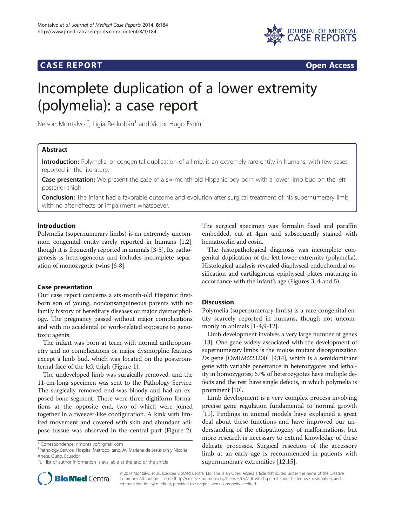# **CASE REPORT CASE REPORT**



# Incomplete duplication of a lower extremity (polymelia): a case report

Nelson Montalvo<sup>1\*</sup>, Ligia Redrobán<sup>1</sup> and Victor Hugo Espín<sup>2</sup>

# Abstract

Introduction: Polymelia, or congenital duplication of a limb, is an extremely rare entity in humans, with few cases reported in the literature.

Case presentation: We present the case of a six-month-old Hispanic boy born with a lower limb bud on the left posterior thigh.

Conclusion: The infant had a favorable outcome and evolution after surgical treatment of his supernumerary limb, with no after-effects or impairment whatsoever.

# Introduction

Polymelia (supernumerary limbs) is an extremely uncommon congenital entity rarely reported in humans [[1](#page-2-0),[2](#page-2-0)], though it is frequently reported in animals [[3-5](#page-2-0)]. Its pathogenesis is heterogeneous and includes incomplete separation of monozygotic twins [\[6-8](#page-2-0)].

# Case presentation

Our case report concerns a six-month-old Hispanic firstborn son of young, nonconsanguineous parents with no family history of hereditary diseases or major dysmorphology. The pregnancy passed without major complications and with no accidental or work-related exposure to genotoxic agents.

The infant was born at term with normal anthropometry and no complications or major dysmorphic features except a limb bud, which was located on the posterointernal face of the left thigh (Figure [1\)](#page-1-0).

The undeveloped limb was surgically removed, and the 11-cm-long specimen was sent to the Pathology Service. The surgically removed end was bloody and had an exposed bone segment. There were three digitiform formations at the opposite end, two of which were joined together in a tweezer-like configuration. A kink with limited movement and covered with skin and abundant adipose tussue was observed in the central part (Figure [2](#page-1-0)).

Pathology Service, Hospital Metropolitano, Av Mariana de Jesús s/n y Nicolás Arteta, Quito, Ecuador

The surgical specimen was formalin fixed and paraffin embedded, cut at 4μm and subsequently stained with hematoxylin and eosin.

The histopathological diagnosis was incomplete congenital duplication of the left lower extremity (polymelia). Histological analysis revealed diaphyseal endochondral ossification and cartilaginous epiphyseal plates maturing in accordance with the infant's age (Figures [3](#page-1-0), [4](#page-1-0) and [5](#page-1-0)).

# **Discussion**

Polymelia (supernumerary limbs) is a rare congenital entity scarcely reported in humans, though not uncommonly in animals [[1-4,9](#page-2-0)-[12\]](#page-2-0).

Limb development involves a very large number of genes [[13](#page-2-0)]. One gene widely associated with the development of supernumerary limbs is the mouse mutant disorganization Ds gene [OMIM:223200] [\[9,14](#page-2-0)], which is a semidominant gene with variable penetrance in heterozygotes and lethality in homozygotes; 67% of heterozygotes have multiple defects and the rest have single defects, in which polymelia is prominent [\[10\]](#page-2-0).

Limb development is a very complex process involving precise gene regulation fundamental to normal growth [[11\]](#page-2-0). Findings in animal models have explained a great deal about these functions and have improved our understanding of the etiopathogeny of malformations, but more research is necessary to extend knowledge of these delicate processes. Surgical resection of the accessory limb at an early age is recommended in patients with supernumerary extremities [[12,15\]](#page-2-0).



© 2014 Montalvo et al.; licensee BioMed Central Ltd. This is an Open Access article distributed under the terms of the Creative Commons Attribution License [\(http://creativecommons.org/licenses/by/2.0\)](http://creativecommons.org/licenses/by/2.0), which permits unrestricted use, distribution, and reproduction in any medium, provided the original work is properly credited.

<sup>\*</sup> Correspondence: [nmontalvof@gmail.com](mailto:nmontalvof@gmail.com) <sup>1</sup>

Full list of author information is available at the end of the article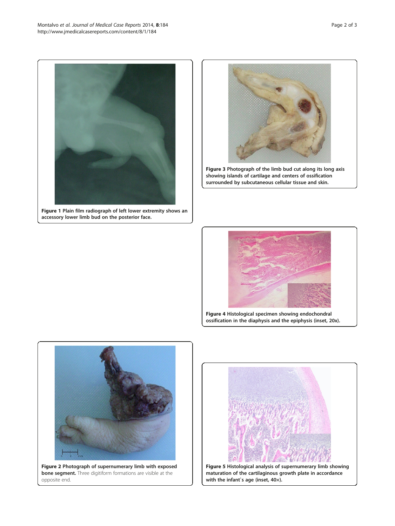<span id="page-1-0"></span>

Figure 1 Plain film radiograph of left lower extremity shows an accessory lower limb bud on the posterior face.



Figure 3 Photograph of the limb bud cut along its long axis showing islands of cartilage and centers of ossification surrounded by subcutaneous cellular tissue and skin.



Figure 4 Histological specimen showing endochondral ossification in the diaphysis and the epiphysis (inset, 20x).



Figure 2 Photograph of supernumerary limb with exposed bone segment. Three digitiform formations are visible at the opposite end.



Figure 5 Histological analysis of supernumerary limb showing maturation of the cartilaginous growth plate in accordance with the infant`s age (inset, 40×).